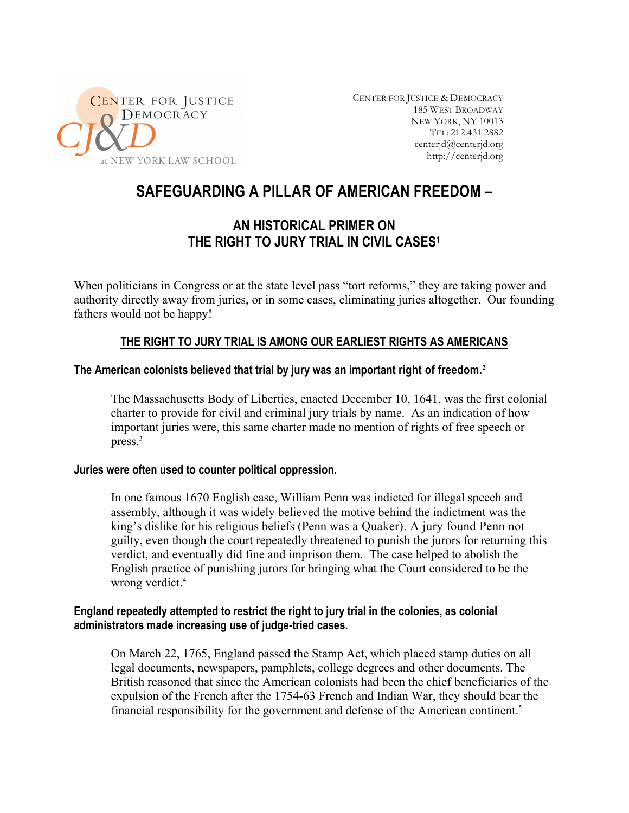

CENTER FOR JUSTICE & DEMOCRACY 185 WEST BROADWAY NEW YORK, NY 10013 TEL: 212.431.2882 centerjd@centerjd.org http://centerjd.org

# **SAFEGUARDING A PILLAR OF AMERICAN FREEDOM –**

# **AN HISTORICAL PRIMER ON THE RIGHT TO JURY TRIAL IN CIVIL CASES1**

When politicians in Congress or at the state level pass "tort reforms," they are taking power and authority directly away from juries, or in some cases, eliminating juries altogether. Our founding fathers would not be happy!

# **THE RIGHT TO JURY TRIAL IS AMONG OUR EARLIEST RIGHTS AS AMERICANS**

## **The American colonists believed that trial by jury was an important right of freedom.<sup>2</sup>**

The Massachusetts Body of Liberties, enacted December 10, 1641, was the first colonial charter to provide for civil and criminal jury trials by name. As an indication of how important juries were, this same charter made no mention of rights of free speech or press. $3$ 

#### **Juries were often used to counter political oppression.**

In one famous 1670 English case, William Penn was indicted for illegal speech and assembly, although it was widely believed the motive behind the indictment was the king's dislike for his religious beliefs (Penn was a Quaker). A jury found Penn not guilty, even though the court repeatedly threatened to punish the jurors for returning this verdict, and eventually did fine and imprison them. The case helped to abolish the English practice of punishing jurors for bringing what the Court considered to be the wrong verdict.<sup>4</sup>

# **England repeatedly attempted to restrict the right to jury trial in the colonies, as colonial administrators made increasing use of judge-tried cases.**

On March 22, 1765, England passed the Stamp Act, which placed stamp duties on all legal documents, newspapers, pamphlets, college degrees and other documents. The British reasoned that since the American colonists had been the chief beneficiaries of the expulsion of the French after the 1754-63 French and Indian War, they should bear the financial responsibility for the government and defense of the American continent.<sup>5</sup>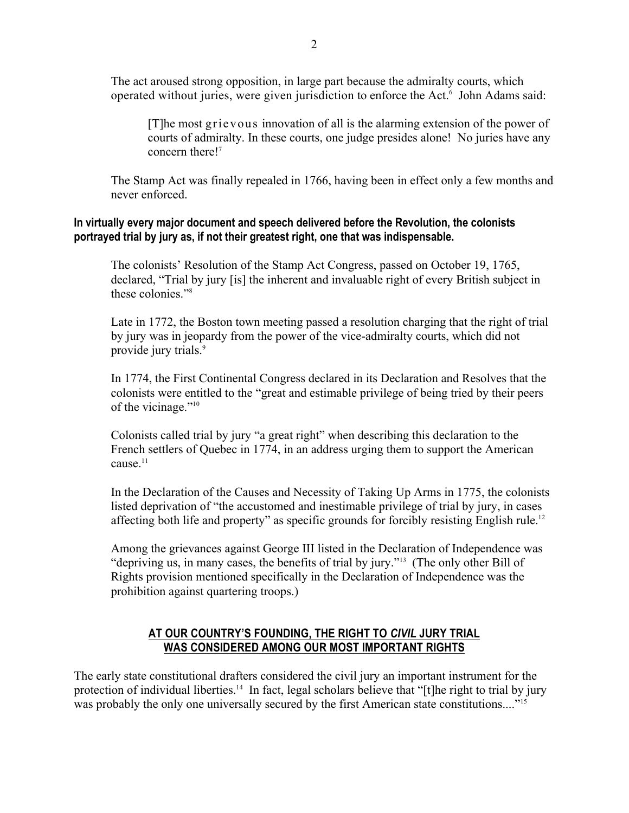The act aroused strong opposition, in large part because the admiralty courts, which operated without juries, were given jurisdiction to enforce the Act.<sup>6</sup> John Adams said:

[T]he most grievous innovation of all is the alarming extension of the power of courts of admiralty. In these courts, one judge presides alone! No juries have any concern there!7

The Stamp Act was finally repealed in 1766, having been in effect only a few months and never enforced.

## **In virtually every major document and speech delivered before the Revolution, the colonists portrayed trial by jury as, if not their greatest right, one that was indispensable.**

The colonists' Resolution of the Stamp Act Congress, passed on October 19, 1765, declared, "Trial by jury [is] the inherent and invaluable right of every British subject in these colonies."8

Late in 1772, the Boston town meeting passed a resolution charging that the right of trial by jury was in jeopardy from the power of the vice-admiralty courts, which did not provide jury trials.<sup>9</sup>

In 1774, the First Continental Congress declared in its Declaration and Resolves that the colonists were entitled to the "great and estimable privilege of being tried by their peers of the vicinage."<sup>10</sup>

Colonists called trial by jury "a great right" when describing this declaration to the French settlers of Quebec in 1774, in an address urging them to support the American cause.<sup>11</sup>

In the Declaration of the Causes and Necessity of Taking Up Arms in 1775, the colonists listed deprivation of "the accustomed and inestimable privilege of trial by jury, in cases affecting both life and property" as specific grounds for forcibly resisting English rule.<sup>12</sup>

Among the grievances against George III listed in the Declaration of Independence was "depriving us, in many cases, the benefits of trial by jury."13 (The only other Bill of Rights provision mentioned specifically in the Declaration of Independence was the prohibition against quartering troops.)

# **AT OUR COUNTRY'S FOUNDING, THE RIGHT TO** *CIVIL* **JURY TRIAL WAS CONSIDERED AMONG OUR MOST IMPORTANT RIGHTS**

The early state constitutional drafters considered the civil jury an important instrument for the protection of individual liberties.<sup>14</sup> In fact, legal scholars believe that "[t]he right to trial by jury was probably the only one universally secured by the first American state constitutions...."<sup>15</sup>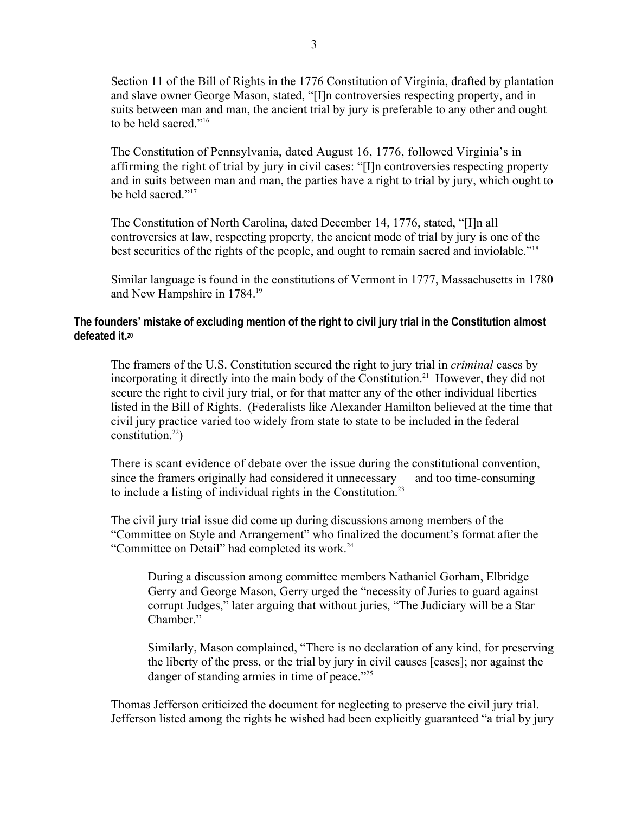Section 11 of the Bill of Rights in the 1776 Constitution of Virginia, drafted by plantation and slave owner George Mason, stated, "[I]n controversies respecting property, and in suits between man and man, the ancient trial by jury is preferable to any other and ought to be held sacred."16

The Constitution of Pennsylvania, dated August 16, 1776, followed Virginia's in affirming the right of trial by jury in civil cases: "[I]n controversies respecting property and in suits between man and man, the parties have a right to trial by jury, which ought to be held sacred<sup>"17</sup>

The Constitution of North Carolina, dated December 14, 1776, stated, "[I]n all controversies at law, respecting property, the ancient mode of trial by jury is one of the best securities of the rights of the people, and ought to remain sacred and inviolable."18

Similar language is found in the constitutions of Vermont in 1777, Massachusetts in 1780 and New Hampshire in 1784.19

## **The founders' mistake of excluding mention of the right to civil jury trial in the Constitution almost defeated it.20**

The framers of the U.S. Constitution secured the right to jury trial in *criminal* cases by incorporating it directly into the main body of the Constitution.<sup>21</sup> However, they did not secure the right to civil jury trial, or for that matter any of the other individual liberties listed in the Bill of Rights. (Federalists like Alexander Hamilton believed at the time that civil jury practice varied too widely from state to state to be included in the federal constitution.<sup>22</sup>)

There is scant evidence of debate over the issue during the constitutional convention, since the framers originally had considered it unnecessary — and too time-consuming to include a listing of individual rights in the Constitution. $23$ 

The civil jury trial issue did come up during discussions among members of the "Committee on Style and Arrangement" who finalized the document's format after the "Committee on Detail" had completed its work.<sup>24</sup>

During a discussion among committee members Nathaniel Gorham, Elbridge Gerry and George Mason, Gerry urged the "necessity of Juries to guard against corrupt Judges," later arguing that without juries, "The Judiciary will be a Star Chamber."

Similarly, Mason complained, "There is no declaration of any kind, for preserving the liberty of the press, or the trial by jury in civil causes [cases]; nor against the danger of standing armies in time of peace."<sup>25</sup>

Thomas Jefferson criticized the document for neglecting to preserve the civil jury trial. Jefferson listed among the rights he wished had been explicitly guaranteed "a trial by jury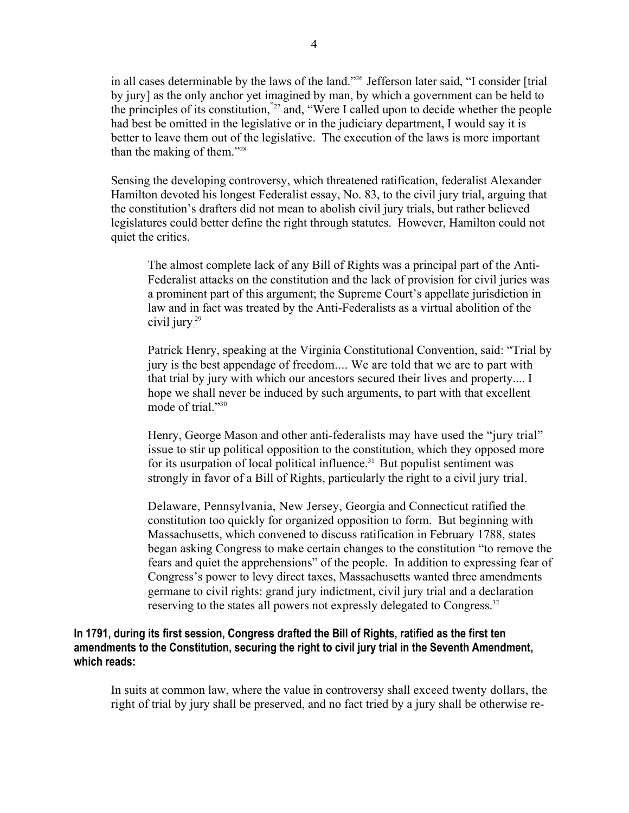in all cases determinable by the laws of the land."26 Jefferson later said, "I consider [trial by jury] as the only anchor yet imagined by man, by which a government can be held to the principles of its constitution,"27 and, "Were I called upon to decide whether the people had best be omitted in the legislative or in the judiciary department, I would say it is better to leave them out of the legislative. The execution of the laws is more important than the making of them."28

Sensing the developing controversy, which threatened ratification, federalist Alexander Hamilton devoted his longest Federalist essay, No. 83, to the civil jury trial, arguing that the constitution's drafters did not mean to abolish civil jury trials, but rather believed legislatures could better define the right through statutes. However, Hamilton could not quiet the critics.

The almost complete lack of any Bill of Rights was a principal part of the Anti-Federalist attacks on the constitution and the lack of provision for civil juries was a prominent part of this argument; the Supreme Court's appellate jurisdiction in law and in fact was treated by the Anti-Federalists as a virtual abolition of the civil jury. 29

Patrick Henry, speaking at the Virginia Constitutional Convention, said: "Trial by jury is the best appendage of freedom.... We are told that we are to part with that trial by jury with which our ancestors secured their lives and property.... I hope we shall never be induced by such arguments, to part with that excellent mode of trial."<sup>30</sup>

Henry, George Mason and other anti-federalists may have used the "jury trial" issue to stir up political opposition to the constitution, which they opposed more for its usurpation of local political influence.<sup>31</sup> But populist sentiment was strongly in favor of a Bill of Rights, particularly the right to a civil jury trial.

Delaware, Pennsylvania, New Jersey, Georgia and Connecticut ratified the constitution too quickly for organized opposition to form. But beginning with Massachusetts, which convened to discuss ratification in February 1788, states began asking Congress to make certain changes to the constitution "to remove the fears and quiet the apprehensions" of the people. In addition to expressing fear of Congress's power to levy direct taxes, Massachusetts wanted three amendments germane to civil rights: grand jury indictment, civil jury trial and a declaration reserving to the states all powers not expressly delegated to Congress.<sup>32</sup>

## **In 1791, during its first session, Congress drafted the Bill of Rights, ratified as the first ten amendments to the Constitution, securing the right to civil jury trial in the Seventh Amendment, which reads:**

In suits at common law, where the value in controversy shall exceed twenty dollars, the right of trial by jury shall be preserved, and no fact tried by a jury shall be otherwise re-